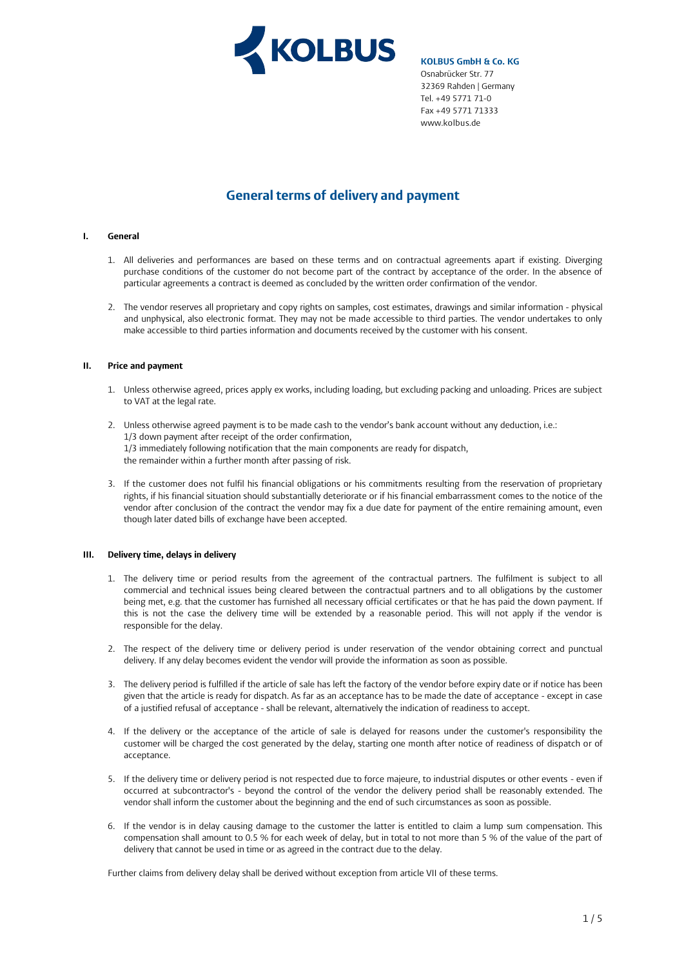

# **General terms of delivery and payment**

## **I. General**

- 1. All deliveries and performances are based on these terms and on contractual agreements apart if existing. Diverging purchase conditions of the customer do not become part of the contract by acceptance of the order. In the absence of particular agreements a contract is deemed as concluded by the written order confirmation of the vendor.
- 2. The vendor reserves all proprietary and copy rights on samples, cost estimates, drawings and similar information physical and unphysical, also electronic format. They may not be made accessible to third parties. The vendor undertakes to only make accessible to third parties information and documents received by the customer with his consent.

# **II. Price and payment**

- 1. Unless otherwise agreed, prices apply ex works, including loading, but excluding packing and unloading. Prices are subject to VAT at the legal rate.
- 2. Unless otherwise agreed payment is to be made cash to the vendor's bank account without any deduction, i.e.: 1/3 down payment after receipt of the order confirmation, 1/3 immediately following notification that the main components are ready for dispatch, the remainder within a further month after passing of risk.
- 3. If the customer does not fulfil his financial obligations or his commitments resulting from the reservation of proprietary rights, if his financial situation should substantially deteriorate or if his financial embarrassment comes to the notice of the vendor after conclusion of the contract the vendor may fix a due date for payment of the entire remaining amount, even though later dated bills of exchange have been accepted.

# **III. Delivery time, delays in delivery**

- 1. The delivery time or period results from the agreement of the contractual partners. The fulfilment is subject to all commercial and technical issues being cleared between the contractual partners and to all obligations by the customer being met, e.g. that the customer has furnished all necessary official certificates or that he has paid the down payment. If this is not the case the delivery time will be extended by a reasonable period. This will not apply if the vendor is responsible for the delay.
- 2. The respect of the delivery time or delivery period is under reservation of the vendor obtaining correct and punctual delivery. If any delay becomes evident the vendor will provide the information as soon as possible.
- 3. The delivery period is fulfilled if the article of sale has left the factory of the vendor before expiry date or if notice has been given that the article is ready for dispatch. As far as an acceptance has to be made the date of acceptance - except in case of a justified refusal of acceptance - shall be relevant, alternatively the indication of readiness to accept.
- 4. If the delivery or the acceptance of the article of sale is delayed for reasons under the customer's responsibility the customer will be charged the cost generated by the delay, starting one month after notice of readiness of dispatch or of acceptance.
- 5. If the delivery time or delivery period is not respected due to force majeure, to industrial disputes or other events even if occurred at subcontractor's - beyond the control of the vendor the delivery period shall be reasonably extended. The vendor shall inform the customer about the beginning and the end of such circumstances as soon as possible.
- 6. If the vendor is in delay causing damage to the customer the latter is entitled to claim a lump sum compensation. This compensation shall amount to 0.5 % for each week of delay, but in total to not more than 5 % of the value of the part of delivery that cannot be used in time or as agreed in the contract due to the delay.

Further claims from delivery delay shall be derived without exception from article VII of these terms.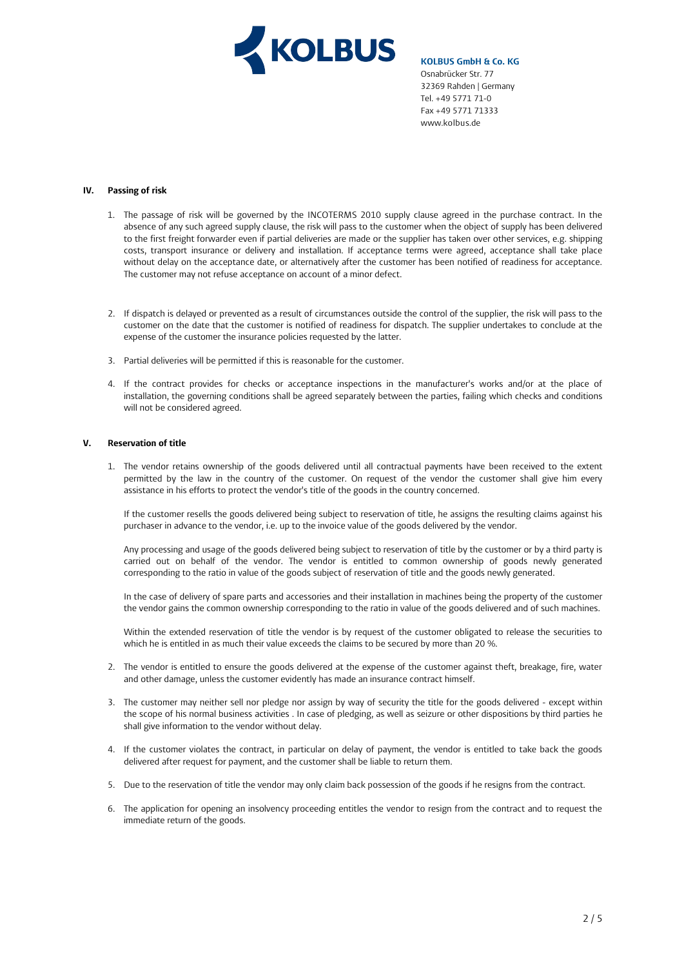

# **IV. Passing of risk**

- 1. The passage of risk will be governed by the INCOTERMS 2010 supply clause agreed in the purchase contract. In the absence of any such agreed supply clause, the risk will pass to the customer when the object of supply has been delivered to the first freight forwarder even if partial deliveries are made or the supplier has taken over other services, e.g. shipping costs, transport insurance or delivery and installation. If acceptance terms were agreed, acceptance shall take place without delay on the acceptance date, or alternatively after the customer has been notified of readiness for acceptance. The customer may not refuse acceptance on account of a minor defect.
- 2. If dispatch is delayed or prevented as a result of circumstances outside the control of the supplier, the risk will pass to the customer on the date that the customer is notified of readiness for dispatch. The supplier undertakes to conclude at the expense of the customer the insurance policies requested by the latter.
- 3. Partial deliveries will be permitted if this is reasonable for the customer.
- 4. If the contract provides for checks or acceptance inspections in the manufacturer's works and/or at the place of installation, the governing conditions shall be agreed separately between the parties, failing which checks and conditions will not be considered agreed.

#### **V. Reservation of title**

1. The vendor retains ownership of the goods delivered until all contractual payments have been received to the extent permitted by the law in the country of the customer. On request of the vendor the customer shall give him every assistance in his efforts to protect the vendor's title of the goods in the country concerned.

If the customer resells the goods delivered being subject to reservation of title, he assigns the resulting claims against his purchaser in advance to the vendor, i.e. up to the invoice value of the goods delivered by the vendor.

Any processing and usage of the goods delivered being subject to reservation of title by the customer or by a third party is carried out on behalf of the vendor. The vendor is entitled to common ownership of goods newly generated corresponding to the ratio in value of the goods subject of reservation of title and the goods newly generated.

In the case of delivery of spare parts and accessories and their installation in machines being the property of the customer the vendor gains the common ownership corresponding to the ratio in value of the goods delivered and of such machines.

Within the extended reservation of title the vendor is by request of the customer obligated to release the securities to which he is entitled in as much their value exceeds the claims to be secured by more than 20 %.

- 2. The vendor is entitled to ensure the goods delivered at the expense of the customer against theft, breakage, fire, water and other damage, unless the customer evidently has made an insurance contract himself.
- 3. The customer may neither sell nor pledge nor assign by way of security the title for the goods delivered except within the scope of his normal business activities . In case of pledging, as well as seizure or other dispositions by third parties he shall give information to the vendor without delay.
- 4. If the customer violates the contract, in particular on delay of payment, the vendor is entitled to take back the goods delivered after request for payment, and the customer shall be liable to return them.
- 5. Due to the reservation of title the vendor may only claim back possession of the goods if he resigns from the contract.
- 6. The application for opening an insolvency proceeding entitles the vendor to resign from the contract and to request the immediate return of the goods.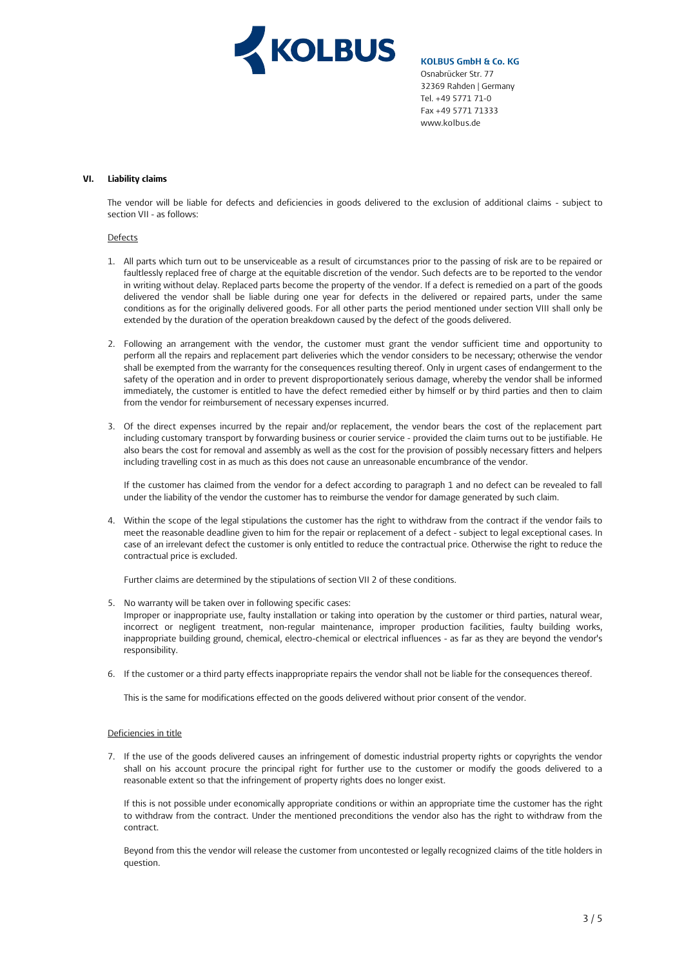

### **VI. Liability claims**

The vendor will be liable for defects and deficiencies in goods delivered to the exclusion of additional claims - subject to section VII - as follows:

#### Defects

- 1. All parts which turn out to be unserviceable as a result of circumstances prior to the passing of risk are to be repaired or faultlessly replaced free of charge at the equitable discretion of the vendor. Such defects are to be reported to the vendor in writing without delay. Replaced parts become the property of the vendor. If a defect is remedied on a part of the goods delivered the vendor shall be liable during one year for defects in the delivered or repaired parts, under the same conditions as for the originally delivered goods. For all other parts the period mentioned under section VIII shall only be extended by the duration of the operation breakdown caused by the defect of the goods delivered.
- 2. Following an arrangement with the vendor, the customer must grant the vendor sufficient time and opportunity to perform all the repairs and replacement part deliveries which the vendor considers to be necessary; otherwise the vendor shall be exempted from the warranty for the consequences resulting thereof. Only in urgent cases of endangerment to the safety of the operation and in order to prevent disproportionately serious damage, whereby the vendor shall be informed immediately, the customer is entitled to have the defect remedied either by himself or by third parties and then to claim from the vendor for reimbursement of necessary expenses incurred.
- 3. Of the direct expenses incurred by the repair and/or replacement, the vendor bears the cost of the replacement part including customary transport by forwarding business or courier service - provided the claim turns out to be justifiable. He also bears the cost for removal and assembly as well as the cost for the provision of possibly necessary fitters and helpers including travelling cost in as much as this does not cause an unreasonable encumbrance of the vendor.

If the customer has claimed from the vendor for a defect according to paragraph 1 and no defect can be revealed to fall under the liability of the vendor the customer has to reimburse the vendor for damage generated by such claim.

4. Within the scope of the legal stipulations the customer has the right to withdraw from the contract if the vendor fails to meet the reasonable deadline given to him for the repair or replacement of a defect - subject to legal exceptional cases. In case of an irrelevant defect the customer is only entitled to reduce the contractual price. Otherwise the right to reduce the contractual price is excluded.

Further claims are determined by the stipulations of section VII 2 of these conditions.

- 5. No warranty will be taken over in following specific cases:
- Improper or inappropriate use, faulty installation or taking into operation by the customer or third parties, natural wear, incorrect or negligent treatment, non-regular maintenance, improper production facilities, faulty building works, inappropriate building ground, chemical, electro-chemical or electrical influences - as far as they are beyond the vendor's responsibility.
- 6. If the customer or a third party effects inappropriate repairs the vendor shall not be liable for the consequences thereof.

This is the same for modifications effected on the goods delivered without prior consent of the vendor.

### Deficiencies in title

7. If the use of the goods delivered causes an infringement of domestic industrial property rights or copyrights the vendor shall on his account procure the principal right for further use to the customer or modify the goods delivered to a reasonable extent so that the infringement of property rights does no longer exist.

If this is not possible under economically appropriate conditions or within an appropriate time the customer has the right to withdraw from the contract. Under the mentioned preconditions the vendor also has the right to withdraw from the contract.

Beyond from this the vendor will release the customer from uncontested or legally recognized claims of the title holders in question.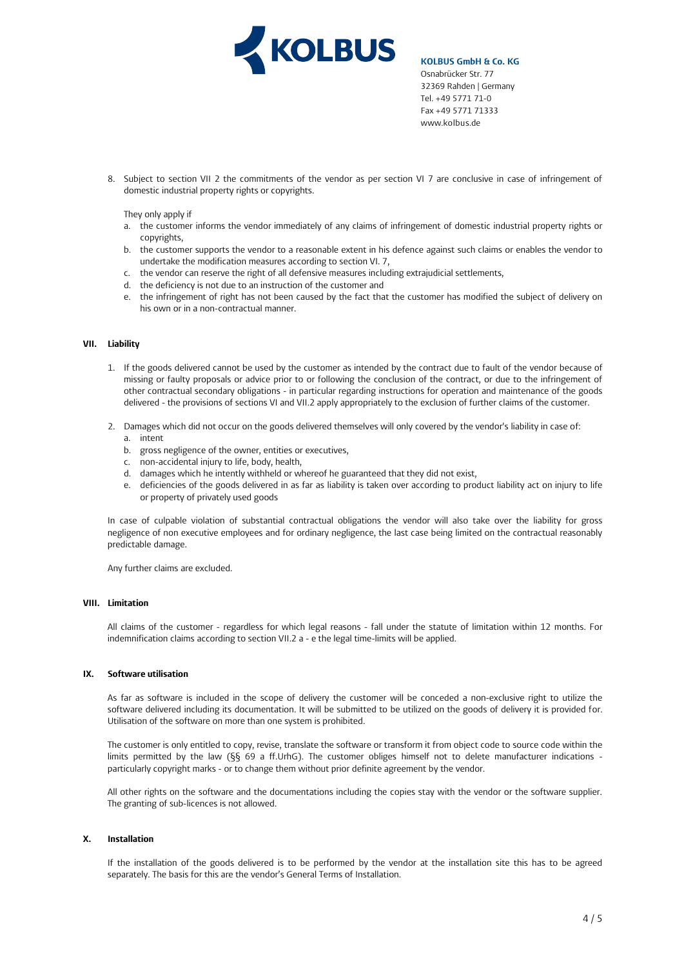

8. Subject to section VII 2 the commitments of the vendor as per section VI 7 are conclusive in case of infringement of domestic industrial property rights or copyrights.

They only apply if

- a. the customer informs the vendor immediately of any claims of infringement of domestic industrial property rights or copyrights,
- b. the customer supports the vendor to a reasonable extent in his defence against such claims or enables the vendor to undertake the modification measures according to section VI. 7,
- c. the vendor can reserve the right of all defensive measures including extrajudicial settlements,
- d. the deficiency is not due to an instruction of the customer and
- e. the infringement of right has not been caused by the fact that the customer has modified the subject of delivery on his own or in a non-contractual manner.

#### **VII. Liability**

- 1. If the goods delivered cannot be used by the customer as intended by the contract due to fault of the vendor because of missing or faulty proposals or advice prior to or following the conclusion of the contract, or due to the infringement of other contractual secondary obligations - in particular regarding instructions for operation and maintenance of the goods delivered - the provisions of sections VI and VII.2 apply appropriately to the exclusion of further claims of the customer.
- 2. Damages which did not occur on the goods delivered themselves will only covered by the vendor's liability in case of: a. intent
	- b. gross negligence of the owner, entities or executives,
	- c. non-accidental injury to life, body, health,
	- d. damages which he intently withheld or whereof he guaranteed that they did not exist,
	- e. deficiencies of the goods delivered in as far as liability is taken over according to product liability act on injury to life or property of privately used goods

In case of culpable violation of substantial contractual obligations the vendor will also take over the liability for gross negligence of non executive employees and for ordinary negligence, the last case being limited on the contractual reasonably predictable damage.

Any further claims are excluded.

## **VIII. Limitation**

All claims of the customer - regardless for which legal reasons - fall under the statute of limitation within 12 months. For indemnification claims according to section VII.2 a - e the legal time-limits will be applied.

# **IX. Software utilisation**

As far as software is included in the scope of delivery the customer will be conceded a non-exclusive right to utilize the software delivered including its documentation. It will be submitted to be utilized on the goods of delivery it is provided for. Utilisation of the software on more than one system is prohibited.

The customer is only entitled to copy, revise, translate the software or transform it from object code to source code within the limits permitted by the law (§§ 69 a ff.UrhG). The customer obliges himself not to delete manufacturer indications particularly copyright marks - or to change them without prior definite agreement by the vendor.

All other rights on the software and the documentations including the copies stay with the vendor or the software supplier. The granting of sub-licences is not allowed.

# **X. Installation**

If the installation of the goods delivered is to be performed by the vendor at the installation site this has to be agreed separately. The basis for this are the vendor's General Terms of Installation.